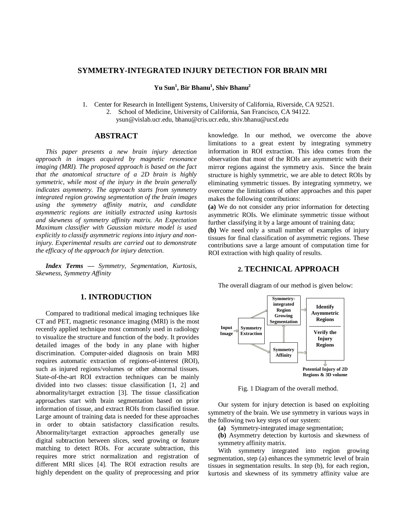# **SYMMETRY-INTEGRATED INJURY DETECTION FOR BRAIN MRI**

**Yu Sun<sup>1</sup> , Bir Bhanu<sup>1</sup> , Shiv Bhanu<sup>2</sup>**

1. Center for Research in Intelligent Systems, University of California, Riverside, CA 92521.

2. School of Medicine, University of California, San Francisco, CA 94122.

ysun@vislab.ucr.edu, bhanu@cris.ucr.edu, shiv.bhanu@ucsf.edu

## **ABSTRACT**

 *This paper presents a new brain injury detection approach in images acquired by [magnetic resonance](http://en.wikipedia.org/wiki/Magnetic_resonance_imaging)  [imaging \(](http://en.wikipedia.org/wiki/Magnetic_resonance_imaging)MRI). The proposed approach is based on the fact that the anatomical structure of a 2D brain is highly symmetric, while most of the injury in the brain generally indicates asymmetry. The approach starts from symmetry integrated region growing segmentation of the brain images using the symmetry affinity matrix, and candidate asymmetric regions are initially extracted using kurtosis and skewness of symmetry affinity matrix. An Expectation Maximum classifier with Gaussian mixture model is used explicitly to classify asymmetric regions into injury and noninjury. Experimental results are carried out to demonstrate the efficacy of the approach for injury detection.*

 *Index Terms — Symmetry, Segmentation, Kurtosis, Skewness, Symmetry Affinity*

### **1. INTRODUCTION**

Compared to traditional medical imaging techniques like CT and PET, magnetic resonance imaging (MRI) is the most recently applied technique most commonly used in [radiology](http://en.wikipedia.org/wiki/Radiology) to visualize the structure and function of the body. It provides detailed images of the body in any plane with higher discrimination. Computer-aided diagnosis on brain MRI requires automatic extraction of regions-of-interest (ROI), such as injured regions/volumes or other abnormal tissues. State-of-the-art ROI extraction techniques can be mainly divided into two classes: tissue classification [1, 2] and abnormality/target extraction [3]. The tissue classification approaches start with brain segmentation based on prior information of tissue, and extract ROIs from classified tissue. Large amount of training data is needed for these approaches in order to obtain satisfactory classification results. Abnormality/target extraction approaches generally use digital subtraction between slices, seed growing or feature matching to detect ROIs. For accurate subtraction, this requires more strict normalization and registration of different MRI slices [4]. The ROI extraction results are highly dependent on the quality of preprocessing and prior knowledge. In our method, we overcome the above limitations to a great extent by integrating symmetry information in ROI extraction. This idea comes from the observation that most of the ROIs are asymmetric with their mirror regions against the symmetry axis. Since the brain structure is highly symmetric, we are able to detect ROIs by eliminating symmetric tissues. By integrating symmetry, we overcome the limitations of other approaches and this paper makes the following contributions:

**(a)** We do not consider any prior information for detecting asymmetric ROIs. We eliminate symmetric tissue without further classifying it by a large amount of training data;

**(b)** We need only a small number of examples of injury tissues for final classification of asymmetric regions. These contributions save a large amount of computation time for ROI extraction with high quality of results.

# **2. TECHNICAL APPROACH**

The overall diagram of our method is given below:



Fig. 1 Diagram of the overall method.

Our system for injury detection is based on exploiting symmetry of the brain. We use symmetry in various ways in the following two key steps of our system:

**(a)** Symmetry-integrated image segmentation;

**(b)** Asymmetry detection by kurtosis and skewness of symmetry affinity matrix.

 With symmetry integrated into region growing segmentation, step (a) enhances the symmetric level of brain tissues in segmentation results. In step (b), for each region, kurtosis and skewness of its symmetry affinity value are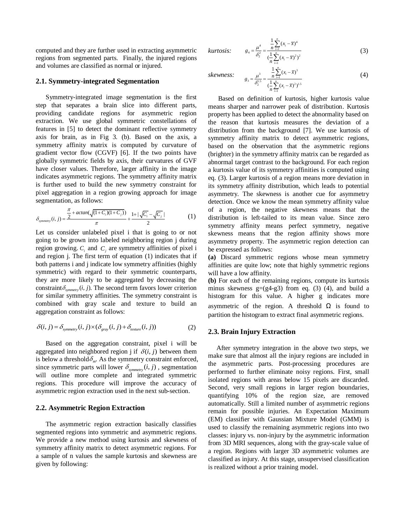computed and they are further used in extracting asymmetric regions from segmented parts. Finally, the injured regions and volumes are classified as normal or injured.

## **2.1. Symmetry-integrated Segmentation**

Symmetry-integrated image segmentation is the first step that separates a brain slice into different parts, providing candidate regions for asymmetric region extraction. We use global symmetric constellations of features in [5] to detect the dominant reflective symmetry axis for brain, as in Fig 3. (b). Based on the axis, a symmetry affinity matrix is computed by curvature of gradient vector flow (CGVF) [6]. If the two points have globally symmetric fields by axis, their curvatures of GVF have closer values. Therefore, larger affinity in the image indicates asymmetric regions. The symmetry affinity matrix is further used to build the new symmetry constraint for pixel aggregation in a region growing approach for image

segmentation, as follows:  
\n
$$
\delta_{symmetry}(i, j) = \frac{\frac{\pi}{2} + \arctan(\sqrt{(1 + C_i)(1 + C_j)})}{\pi} + \frac{1 + |\sqrt{C_i} - \sqrt{C_j}|}{2}
$$
\n(1)

Let us consider unlabeled pixel i that is going to or not going to be grown into labeled neighboring region j during region growing.  $C_i$  and  $C_j$  are symmetry affinities of pixel i and region j. The first term of equation (1) indicates that if both patterns i and j indicate low symmetry affinities (highly symmetric) with regard to their symmetric counterparts, they are more likely to be aggregated by decreasing the constraint  $\delta_{\text{symmetry}}(i, j)$ . The second term favors lower criterion for similar symmetry affinities. The symmetry constraint is combined with gray scale and texture to build an wing.  $C_i$  an<br>
in j. The fir<br>
rms i and j i<br>
i) with reg<br>
more likely<br>  $\delta_{symmetry}(i, j)$ .

aggregation constraint as follows:  
\n
$$
\delta(i, j) = \delta_{symmetry}(i, j) \times (\delta_{gray}(i, j) + \delta_{return}(i, j))
$$
\n(2)

Based on the aggregation constraint, pixel i will be aggregated into neighbored region j if  $\delta(i, j)$  between them is below a threshold  $\delta_m$ . As the symmetry constraint enforced, aggregated into neighbored region j if  $\delta(i, j)$  between them<br>is below a threshold  $\delta_m$ . As the symmetry constraint enforced,<br>since symmetric parts will lower  $\delta_{symmetry}(i, j)$ , segmentation will outline more complete and integrated symmetric regions. This procedure will improve the accuracy of asymmetric region extraction used in the next sub-section.

### **2.2. Asymmetric Region Extraction**

The asymmetric region extraction basically classifies segmented regions into symmetric and asymmetric regions. We provide a new method using kurtosis and skewness of symmetry affinity matrix to detect asymmetric regions. For a [sample](http://en.wikipedia.org/wiki/Sample_(statistics)) of n values the sample kurtosis and skewness are given by following:

kurtosis: 
$$
g_4 = \frac{\mu^4}{\delta_2^2} = \frac{\frac{1}{n} \sum_{i=1}^n (x_i - \bar{x})^4}{(\frac{1}{n} \sum_{i=1}^n (x_i - \bar{x})^2)^2}
$$
(3)

skewness: 
$$
g_3 = \frac{\mu^3}{\delta_2^{1.5}} = \frac{\frac{1}{n} \sum_{i=1}^n (x_i - \overline{x})^3}{(\frac{1}{n} \sum_{i=1}^n (x_i - \overline{x})^2)^{1.5}}
$$
(4)

Based on definition of kurtosis, higher kurtosis value means sharper and narrower peak of distribution. Kurtosis property has been applied to detect the abnormality based on the reason that kurtosis measures the deviation of a distribution from the background [7]. We use kurtosis of symmetry affinity matrix to detect asymmetric regions, based on the observation that the asymmetric regions (brighter) in the symmetry affinity matrix can be regarded as abnormal target contrast to the background. For each region a kurtosis value of its symmetry affinities is computed using eq. (3). Larger kurtosis of a region means more deviation in its symmetry affinity distribution, which leads to potential asymmetry. The skewness is another cue for asymmetry detection. Once we know the mean symmetry affinity value of a region, the negative skewness means that the distribution is left-tailed to its mean value. Since zero symmetry affinity means perfect symmetry, negative skewness means that the region affinity shows more asymmetry property. The asymmetric region detection can be expressed as follows:

**(a)** Discard symmetric regions whose mean symmetry affinities are quite low; note that highly symmetric regions will have a low affinity.

**(b)** For each of the remaining regions, compute its kurtosis minus skewness  $g=(g4-g3)$  from eq. (3) (4), and build a histogram for this value. A higher g indicates more asymmetric of the region. A threshold  $\Omega$  is found to partition the histogram to extract final asymmetric regions.

#### **2.3. Brain Injury Extraction**

 After symmetry integration in the above two steps, we make sure that almost all the injury regions are included in the asymmetric parts. Post-processing procedures are performed to further eliminate noisy regions. First, small isolated regions with areas below 15 pixels are discarded. Second, very small regions in larger region boundaries, quantifying 10% of the region size, are removed automatically. Still a limited number of asymmetric regions remain for possible injuries. An Expectation Maximum (EM) classifier with Gaussian Mixture Model (GMM) is used to classify the remaining asymmetric regions into two classes: injury vs. non-injury by the asymmetric information from 3D MRI sequences, along with the gray-scale value of a region. Regions with larger 3D asymmetric volumes are classified as injury. At this stage, unsupervised classification is realized without a prior training model.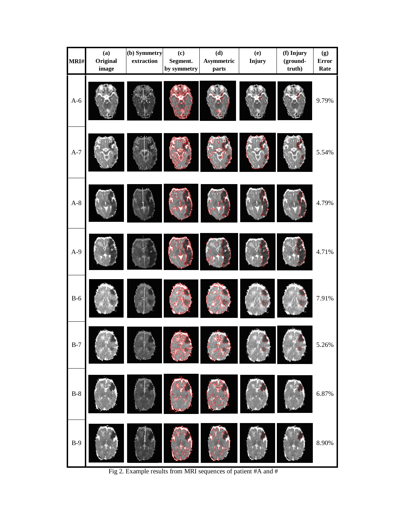| MRI#  | (a)<br>Original | (b) Symmetry<br>extraction | $\left( \mathbf{c} \right)$<br>Segment. | (d)<br>Asymmetric | (e)<br>Injury | (f) Injury<br>(ground- | (g)<br><b>Error</b> |
|-------|-----------------|----------------------------|-----------------------------------------|-------------------|---------------|------------------------|---------------------|
|       | image           |                            | by symmetry                             | parts             |               | truth)                 | Rate                |
| $A-6$ |                 |                            |                                         |                   |               |                        | 9.79%               |
| $A-7$ |                 |                            |                                         |                   |               |                        | 5.54%               |
| $A-8$ |                 |                            |                                         |                   |               |                        | 4.79%               |
| $A-9$ |                 |                            |                                         |                   |               |                        | 4.71%               |
| $B-6$ |                 |                            |                                         |                   |               |                        | 7.91%               |
| $B-7$ |                 |                            |                                         |                   |               |                        | 5.26%               |
| $B-8$ |                 |                            |                                         |                   |               |                        | 6.87%               |
| $B-9$ |                 |                            |                                         |                   |               |                        | $8.90\%$            |

Fig 2. Example results from MRI sequences of patient #A and #